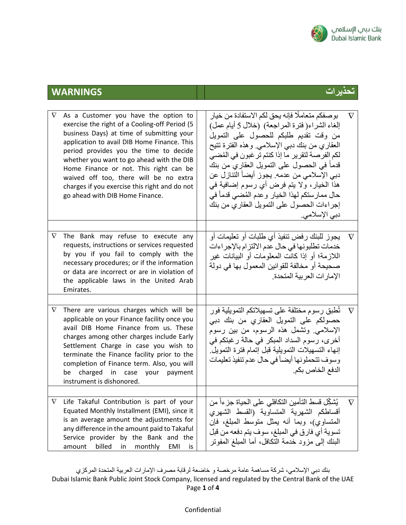

## **تحذيرات WARNINGS**

| ∇        | As a Customer you have the option to<br>exercise the right of a Cooling-off Period (5<br>business Days) at time of submitting your<br>application to avail DIB Home Finance. This<br>period provides you the time to decide<br>whether you want to go ahead with the DIB<br>Home Finance or not. This right can be<br>waived off too, there will be no extra<br>charges if you exercise this right and do not<br>go ahead with DIB Home Finance. | بوصفكم متعاملًا فإنه يحق لكم الاستفادة من خيار<br>إلغاء الشراء(فنرة المراجعة) (خلال 5 أيام عمل)<br>من وقت نقديم طلبكم للحصول على التمويل<br>العقاري من بنك دبي الإسلامي. وهذه الفترة تتيح<br>لكم الفرصــة لنقرير مـا إذا كنتم تر غبون في المُضـى<br>قدماً في الحصول على التمويل العقاري من بنك<br>دبي الإسلامي من عدمه. يجوز أيضاً الننازل عن<br>هذا الخيار، ولا يتم فرض أي رسوم إضافية في<br>حال ممارستكم لهذا الخيار وعدم المُضىي قدماً في<br>إجراءات الحصول على التمويل العقاري من بنك<br>دبی الإسلامی. | $\nabla$ |
|----------|--------------------------------------------------------------------------------------------------------------------------------------------------------------------------------------------------------------------------------------------------------------------------------------------------------------------------------------------------------------------------------------------------------------------------------------------------|------------------------------------------------------------------------------------------------------------------------------------------------------------------------------------------------------------------------------------------------------------------------------------------------------------------------------------------------------------------------------------------------------------------------------------------------------------------------------------------------------------|----------|
| $\nabla$ | The Bank may refuse to execute any<br>requests, instructions or services requested<br>by you if you fail to comply with the<br>necessary procedures; or if the information<br>or data are incorrect or are in violation of<br>the applicable laws in the United Arab<br>Emirates.                                                                                                                                                                | يجوز للبنك رفض تنفيذ أي طلبات أو تعليمات أو<br>خدمات تطلبونها في حال عدم الالتز ام بالإجر اءات<br>اللازمة؛ أو إذا كانت المعلومات أو البيانات غير<br>صحيحة أو مخالفة للقوانين المعمول بها في دولة<br>الإمار ات العر بية المتحدة.                                                                                                                                                                                                                                                                            | $\nabla$ |
|          |                                                                                                                                                                                                                                                                                                                                                                                                                                                  |                                                                                                                                                                                                                                                                                                                                                                                                                                                                                                            |          |
| $\nabla$ | There are various charges which will be<br>applicable on your Finance facility once you<br>avail DIB Home Finance from us. These<br>charges among other charges include Early<br>Settlement Charge in case you wish to<br>terminate the Finance facility prior to the<br>completion of Finance term. Also, you will<br>be charged<br>in case your payment<br>instrument is dishonored.                                                           | تُطبق رسوم مختلفة على تسهيلاتكم التمويلية فور<br>حصولكم على التمويل العقاري من بنك دبي<br>الإسلامي وتشمل هذه الرسوم، من بين رسوم<br>أخرى، رسوم السداد المبكر في حالة رغبتكم في<br>إنهاء التسهيلات التمويلية قبل إتمام فترة التمويل.<br>وسوف تتحملونها أيضاً في حال عدم تنفيذ تعليمات<br>الدفع الخاص بكم.                                                                                                                                                                                                   | $\nabla$ |
|          |                                                                                                                                                                                                                                                                                                                                                                                                                                                  |                                                                                                                                                                                                                                                                                                                                                                                                                                                                                                            |          |
| $\nabla$ | Life Takaful Contribution is part of your<br>Equated Monthly Installment (EMI), since it<br>is an average amount the adjustments for<br>any difference in the amount paid to Takaful<br>Service provider by the Bank and the<br>amount billed in monthly<br>EMI<br>is                                                                                                                                                                            | يُشكِّل قسط التأمين التكافلي على الحياة جز ءاً من<br>أقساطكم الشهرية المتساوية (القسط الشهري<br>المنساوي)، وبما أنه يمثل منوسط المبلغ، فإن<br>تسوية أي فارق في المبلغ، سوف يتم دفعه من قبل<br>الْبَنَّكَ إلىي مزود خدمة التكافل، أما المُبلغ المفوتر                                                                                                                                                                                                                                                       | $\nabla$ |

بنك دبي اإلسالمي، شركة مساهمة عامة مرخصة و خاضعة لرقابة مصرف اإلمارات العربية المتحدة المركزي Dubai Islamic Bank Public Joint Stock Company, licensed and regulated by the Central Bank of the UAE Page **1** of **4**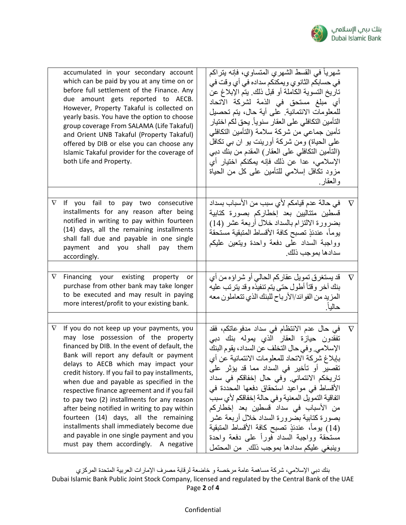

|          | accumulated in your secondary account<br>which can be paid by you at any time on or<br>before full settlement of the Finance. Any<br>due amount gets reported to AECB.<br>However, Property Takaful is collected on<br>yearly basis. You have the option to choose<br>group coverage From SALAMA (Life Takaful)<br>and Orient UNB Takaful (Property Takaful)<br>offered by DIB or else you can choose any<br>Islamic Takaful provider for the coverage of<br>both Life and Property.                                                                                                                                                           | شهرياً في القسط الشهري المتساوي، فإنه بتراكم<br>في حسابكم الثانوي ويمكنكم سداده في أي وقت في<br>تاريخ التسوية الكاملة أو قبل ذلك. يتم الإبلاغ عن<br>أي مبلغ مستحق في الذمة لشركة الاتحاد<br>للمعلومات الائتمانية. على أية حال، يتم تحصيل<br>التأمين التكافلي على العقار سنوياً. يحق لكم اختيار<br>تأمين جماعى من شركة سلامة (التأمين التكافلي<br>على الحياة) ومن شركة أورينت يو ان بـي تكافل<br>(التأمين التكافلي على العقار) المقدم من بنك دبي<br>الإسلامي، عدا عن ذلك فإنه يمكنكم اختيار أي<br>مزود تكافل إسلامي للتأمين على كل من الحياة<br>والعقار ِ                                                                     |          |
|----------|------------------------------------------------------------------------------------------------------------------------------------------------------------------------------------------------------------------------------------------------------------------------------------------------------------------------------------------------------------------------------------------------------------------------------------------------------------------------------------------------------------------------------------------------------------------------------------------------------------------------------------------------|------------------------------------------------------------------------------------------------------------------------------------------------------------------------------------------------------------------------------------------------------------------------------------------------------------------------------------------------------------------------------------------------------------------------------------------------------------------------------------------------------------------------------------------------------------------------------------------------------------------------------|----------|
| $\nabla$ | If you fail to pay two consecutive<br>installments for any reason after being<br>notified in writing to pay within fourteen<br>(14) days, all the remaining installments<br>shall fall due and payable in one single<br>payment and you shall pay<br>them<br>accordingly.                                                                                                                                                                                                                                                                                                                                                                      | في حالة عدم قيامكم لأي سبب من الأسباب بسداد $\nabla$<br>قسطين متتاليين بعد إخطاركم بصورة كتابية<br>بضرورة الالتزام بالسداد خلال أربعة عشر (14)<br>يوماً، عندئذٍ تصبح كافة الأقساط المتبقية مستحقة<br>وواجبة السداد علىى دفعة واحدة ويتعين عليكم<br>سدادها بمو جب ذلك ِ                                                                                                                                                                                                                                                                                                                                                       |          |
|          |                                                                                                                                                                                                                                                                                                                                                                                                                                                                                                                                                                                                                                                |                                                                                                                                                                                                                                                                                                                                                                                                                                                                                                                                                                                                                              |          |
| $\nabla$ | Financing your existing property or<br>purchase from other bank may take longer<br>to be executed and may result in paying<br>more interest/profit to your existing bank.                                                                                                                                                                                                                                                                                                                                                                                                                                                                      | قد يستغرق تمويل عقاركم الحالي أو شراؤه من أي<br>بنك أخر وقتأ أطول حتى يتم تنفيذه وقد يترتب عليه<br>المزيد من الفوائد/الأرباح للبنك الذي تتعاملون معه<br>حالياً.                                                                                                                                                                                                                                                                                                                                                                                                                                                              | $\nabla$ |
| $\nabla$ | If you do not keep up your payments, you<br>may lose possession of the property<br>financed by DIB. In the event of default, the<br>Bank will report any default or payment<br>delays to AECB which may impact your<br>credit history. If you fail to pay installments,<br>when due and payable as specified in the<br>respective finance agreement and if you fail<br>to pay two (2) installments for any reason<br>after being notified in writing to pay within<br>fourteen (14) days, all the remaining<br>installments shall immediately become due<br>and payable in one single payment and you<br>must pay them accordingly. A negative | في حال عدم الانتظام في سداد مدفوعاتكم، فقد $\nabla$<br>تفقدون حيازة العقار الذي يموله بنك دبي<br>الإسلامي. وفي حال التخلف عن السداد، يقوم البنك<br>بإبلاغ شركة الاتحاد للمعلومات الائتمانية عن أي<br>تقصير أو تأخير في السداد مما قد يؤثر على<br>تاريخكم الائتماني. وفي حال إخفاقكم في سداد<br>الأقساط في مواعيد استحقاق دفعها المحددة في<br>اتفاقية التمويل المعنية وفي حالة إخفاقكم لأي سبب<br>من الأسباب في سداد قسطين بعد إخطاركم<br>بصورة كتابية بضرورة السداد خلال أربعة عشر<br>(14) يوماً، عندئذٍ تصبح كافة الأقساط المتبقية<br>مستحقة وواجبة السداد فورأ على دفعة واحدة<br>وينبغي عليكم سدادها بموجب ذلك. من المحتمل |          |

بنك دبي اإلسالمي، شركة مساهمة عامة مرخصة و خاضعة لرقابة مصرف اإلمارات العربية المتحدة المركزي Dubai Islamic Bank Public Joint Stock Company, licensed and regulated by the Central Bank of the UAE Page **2** of **4**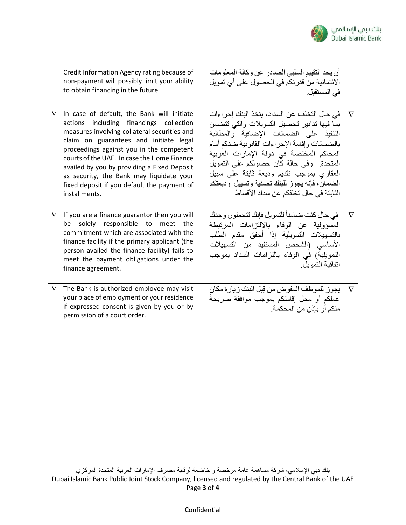

|          | Credit Information Agency rating because of<br>non-payment will possibly limit your ability<br>to obtain financing in the future.                                                                                                                                                                                                                                                                                                     | أن يحد التقييم السلبي الصـادر عن وكالـة المعلومات<br>الائتمانية من قدرتكم في الحصول على أي تمويل<br>في المستقبل.                                                                                                                                                                                                                                                                                                               |                 |
|----------|---------------------------------------------------------------------------------------------------------------------------------------------------------------------------------------------------------------------------------------------------------------------------------------------------------------------------------------------------------------------------------------------------------------------------------------|--------------------------------------------------------------------------------------------------------------------------------------------------------------------------------------------------------------------------------------------------------------------------------------------------------------------------------------------------------------------------------------------------------------------------------|-----------------|
|          |                                                                                                                                                                                                                                                                                                                                                                                                                                       |                                                                                                                                                                                                                                                                                                                                                                                                                                |                 |
| $\nabla$ | In case of default, the Bank will initiate<br>actions including financings collection<br>measures involving collateral securities and<br>claim on guarantees and initiate legal<br>proceedings against you in the competent<br>courts of the UAE. In case the Home Finance<br>availed by you by providing a Fixed Deposit<br>as security, the Bank may liquidate your<br>fixed deposit if you default the payment of<br>installments. | في حال التخلف عن السداد، يتخذ البنك إجراءات $\nabla$<br>بما فيها تدابير تحصيل التمويلات والتى تتضمن<br>التنفيذ على الضمانات الإضافية والمطالبة<br>بالضمانات وإقامة الإجراءات القانونية ضدكم أمام<br>المحاكم المختصة في دولة الإمارات العربية<br>المتحدة. وفي حالة كان حصولكم على التمويل<br>العقاري بموجب نقديم وديعة ثابتة على سبيل<br>الضمان، فإنه يجوز للبنك تصفية وتسبيل وديعتكم<br>الثابتة في حال تخلفكم عن سداد الأقساط. |                 |
|          |                                                                                                                                                                                                                                                                                                                                                                                                                                       |                                                                                                                                                                                                                                                                                                                                                                                                                                |                 |
| $\nabla$ | If you are a finance guarantor then you will<br>be solely responsible to meet the<br>commitment which are associated with the<br>finance facility if the primary applicant (the<br>person availed the finance facility) fails to<br>meet the payment obligations under the<br>finance agreement.                                                                                                                                      | V       في حال كنت ضامناً للتمويل فإنك تتحملون وحدك<br>المسؤولية عن الوفاء بالالتزامات المرتبطة<br>بالتسهيلات التمويلية إذا أخفق مقدم الطلب<br>الأساسي (الشخص المستفيد من التسهيلات<br>التمويلية) في الوفاء بالتزامات السداد بموجب<br>اتفاقية التمويل.                                                                                                                                                                         |                 |
|          |                                                                                                                                                                                                                                                                                                                                                                                                                                       |                                                                                                                                                                                                                                                                                                                                                                                                                                |                 |
| $\nabla$ | The Bank is authorized employee may visit<br>your place of employment or your residence<br>if expressed consent is given by you or by<br>permission of a court order.                                                                                                                                                                                                                                                                 | يجوز للموظف المفوض من قِبل البنك زيارة مكان<br>عملكم أو محل إقامتكم بموجب موافقة صريحةً<br>منكم أو بإذن من المحكمة.                                                                                                                                                                                                                                                                                                            | $\triangledown$ |